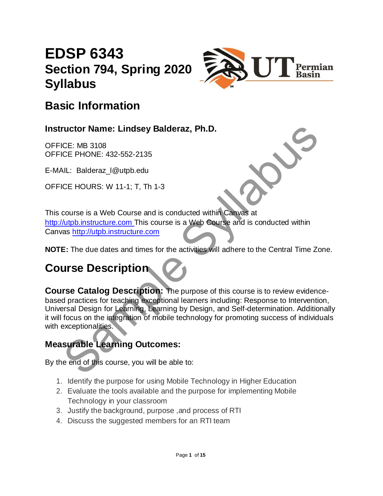# **EDSP 6343 Section 794, Spring 2020 Syllabus**



## **Basic Information**

#### **Instructor Name: Lindsey Balderaz, Ph.D.**

OFFICE: MB 3108 OFFICE PHONE: 432-552-2135

E-MAIL: Balderaz\_l@utpb.edu

OFFICE HOURS: W 11-1; T, Th 1-3

This course is a Web Course and is conducted within Canvas at http://utpb.instructure.com This course is a Web Course and is conducted within Canvas http://utpb.instructure.com

**NOTE:** The due dates and times for the activities will adhere to the Central Time Zone.

# **Course Description**

Transmitted Transmitted Syllabura Syllabura Syllabura Service CHONE: A Sample CE PHONE: 432-552-2135<br>
NL: Balderaz\_I @utpb.edu<br>
CE HOURS: W 11-1; T, Th 1-3<br>
COUSE is a Web Course and is conducted within Carvas at<br>
Autobi.i **Course Catalog Description:** The purpose of this course is to review evidencebased practices for teaching exceptional learners including: Response to Intervention, Universal Design for Learning, Learning by Design, and Self-determination. Additionally it will focus on the integration of mobile technology for promoting success of individuals with exceptionalities.

### **Measurable Learning Outcomes:**

By the end of this course, you will be able to:

- 1. Identify the purpose for using Mobile Technology in Higher Education
- 2. Evaluate the tools available and the purpose for implementing Mobile Technology in your classroom
- 3. Justify the background, purpose ,and process of RTI
- 4. Discuss the suggested members for an RTI team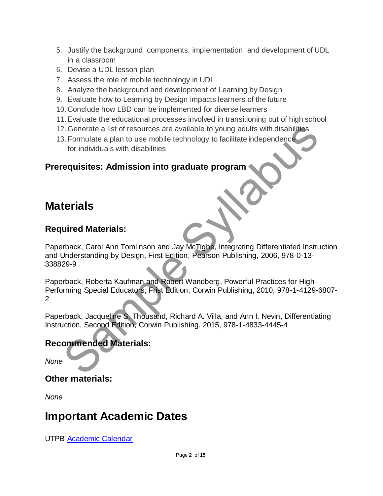- 5. Justify the background, components, implementation, and development of UDL in a classroom
- 6. Devise a UDL lesson plan
- 7. Assess the role of mobile technology in UDL
- 8. Analyze the background and development of Learning by Design
- 9. Evaluate how to Learning by Design impacts learners of the future
- 10. Conclude how LBD can be implemented for diverse learners
- 11. Evaluate the educational processes involved in transitioning out of high school
- 12. Generate a list of resources are available to young adults with disabilities
- 13. Formulate a plan to use mobile technology to facilitate independence for individuals with disabilities

#### **Prerequisites: Admission into graduate program**

## **Materials**

#### **Required Materials:**

Paperback, Carol Ann Tomlinson and Jay McTighe, Integrating Differentiated Instruction and Understanding by Design, First Edition, Pearson Publishing, 2006, 978-0-13- 338829-9

2. Generate a list of resources are available to young adults with disabilities<br>5. Formulate a plan to use mobile technology to facilitate independence<br>for individuals with disabilities<br>for individuals with disabilities<br>**e** Paperback, Roberta Kaufman and Robert Wandberg, Powerful Practices for High-Performing Special Educators, Frist Edition, Corwin Publishing, 2010, 978-1-4129-6807- 2

Paperback, Jacqueline S. Thousand, Richard A. Villa, and Ann I. Nevin, Differentiating Instruction, Second Edition, Corwin Publishing, 2015, 978-1-4833-4445-4

#### **Recommended Materials:**

*None*

**Other materials:**

*None*

## **Important Academic Dates**

UTPB [Academic Calendar](https://www.utpb.edu/calendar/iframe/academic-calendar.pdf)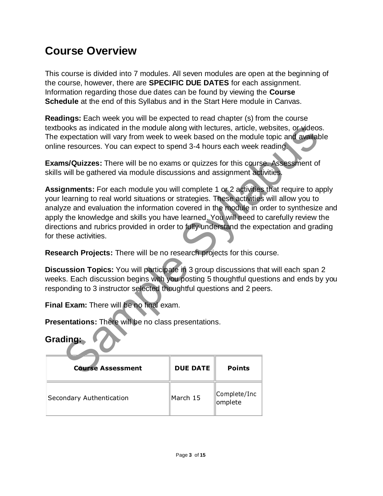## **Course Overview**

This course is divided into 7 modules. All seven modules are open at the beginning of the course, however, there are **SPECIFIC DUE DATES** for each assignment. Information regarding those due dates can be found by viewing the **Course Schedule** at the end of this Syllabus and in the Start Here module in Canvas.

**Readings:** Each week you will be expected to read chapter (s) from the course textbooks as indicated in the module along with lectures, article, websites, or videos. The expectation will vary from week to week based on the module topic and available online resources. You can expect to spend 3-4 hours each week reading.

**Exams/Quizzes:** There will be no exams or quizzes for this course. Assessment of skills will be gathered via module discussions and assignment activities.

soks as indicated in the module along with lectures, article, websites, or videos.<br>
sypectation will vary from week to speed on the module topic and available<br>
eresources. You can expect to speed 3-4 hours each week readin **Assignments:** For each module you will complete 1 or 2 activities that require to apply your learning to real world situations or strategies. These activities will allow you to analyze and evaluation the information covered in the module in order to synthesize and apply the knowledge and skills you have learned. You will need to carefully review the directions and rubrics provided in order to fully understand the expectation and grading for these activities.

**Research Projects:** There will be no research projects for this course.

**Discussion Topics:** You will participate in 3 group discussions that will each span 2 weeks. Each discussion begins with you posting 5 thoughtful questions and ends by you responding to 3 instructor selected thoughtful questions and 2 peers.

**Final Exam:** There will be no final exam.

**Presentations:** There will be no class presentations.

### **Grading:**

| <b>Course Assessment</b> | <b>DUE DATE</b> | <b>Points</b>           |
|--------------------------|-----------------|-------------------------|
| Secondary Authentication | March 15        | Complete/Inc<br>omplete |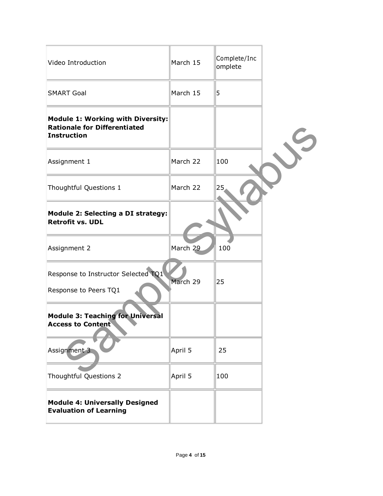| Video Introduction                                                                                    | March 15 | Complete/Inc<br>omplete |  |
|-------------------------------------------------------------------------------------------------------|----------|-------------------------|--|
| <b>SMART Goal</b>                                                                                     | March 15 | 5                       |  |
| <b>Module 1: Working with Diversity:</b><br><b>Rationale for Differentiated</b><br><b>Instruction</b> |          |                         |  |
| Assignment 1                                                                                          | March 22 | 100                     |  |
| Thoughtful Questions 1                                                                                | March 22 | 25                      |  |
| Module 2: Selecting a DI strategy:<br><b>Retrofit vs. UDL</b>                                         |          |                         |  |
| Assignment 2                                                                                          | March 29 | 100                     |  |
| Response to Instructor Selected TQ1<br>Response to Peers TQ1                                          | March 29 | 25                      |  |
| <b>Module 3: Teaching for Universal</b><br><b>Access to Content</b>                                   |          |                         |  |
| Assignment 3                                                                                          | April 5  | 25                      |  |
| Thoughtful Questions 2                                                                                | April 5  | 100                     |  |
| <b>Module 4: Universally Designed</b><br><b>Evaluation of Learning</b>                                |          |                         |  |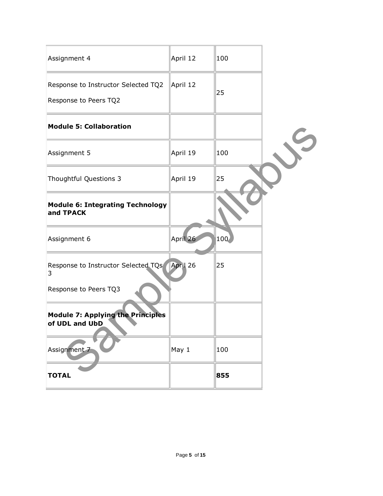| Assignment 4                                                                 | April 12 | 100 |  |
|------------------------------------------------------------------------------|----------|-----|--|
| Response to Instructor Selected TQ2<br>Response to Peers TQ2                 | April 12 | 25  |  |
| <b>Module 5: Collaboration</b>                                               |          |     |  |
| Assignment 5                                                                 | April 19 | 100 |  |
| Thoughtful Questions 3                                                       | April 19 | 25  |  |
| <b>Module 6: Integrating Technology</b><br>and TPACK                         |          |     |  |
| Assignment 6                                                                 | April 26 | 100 |  |
| Response to Instructor Selected TQs   April 26<br>3<br>Response to Peers TQ3 |          | 25  |  |
| <b>Module 7: Applying the Principles</b><br>of UDL and UbD                   |          |     |  |
| Assignment 7                                                                 | May 1    | 100 |  |
| <b>TOTAL</b>                                                                 |          | 855 |  |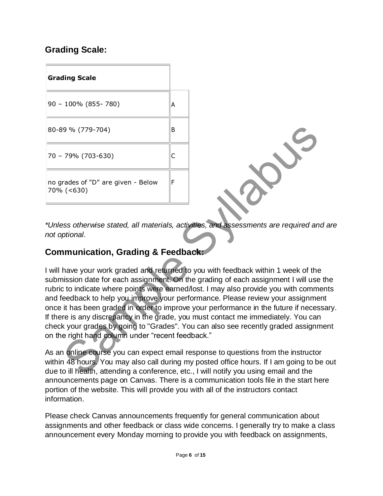#### **Grading Scale:**



*\*Unless otherwise stated, all materials, activities, and assessments are required and are not optional.*

#### **Communication, Grading & Feedback:**

Frameterial of "D" are given - Below<br>
The Cost of "D" are given - Below<br>
The Cost of "D" are given - Below<br>
Instantial Cost of "D" are given - Below<br>
Institutional.<br>
Sample Sylving and The Cost and The Cost of the Syllabus I will have your work graded and returned to you with feedback within 1 week of the submission date for each assignment. On the grading of each assignment I will use the rubric to indicate where points were earned/lost. I may also provide you with comments and feedback to help you improve your performance. Please review your assignment once it has been graded in order to improve your performance in the future if necessary. If there is any discrepancy in the grade, you must contact me immediately. You can check your grades by going to "Grades". You can also see recently graded assignment on the right hand column under "recent feedback."

As an online course you can expect email response to questions from the instructor within 48 hours. You may also call during my posted office hours. If I am going to be out due to ill health, attending a conference, etc., I will notify you using email and the announcements page on Canvas. There is a communication tools file in the start here portion of the website. This will provide you with all of the instructors contact information.

Please check Canvas announcements frequently for general communication about assignments and other feedback or class wide concerns. I generally try to make a class announcement every Monday morning to provide you with feedback on assignments,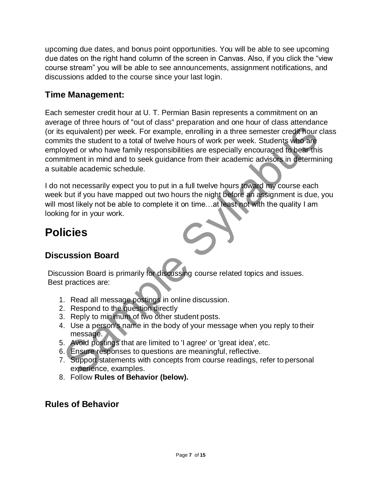upcoming due dates, and bonus point opportunities. You will be able to see upcoming due dates on the right hand column of the screen in Canvas. Also, if you click the "view course stream" you will be able to see announcements, assignment notifications, and discussions added to the course since your last login.

#### **Time Management:**

Samples and the student by the base and the base and the semester credit hourds the student to a total of twelve hours of work per week. The students who are the syllabus of with present over the syllabus of who have famil Each semester credit hour at U. T. Permian Basin represents a commitment on an average of three hours of "out of class" preparation and one hour of class attendance (or its equivalent) per week. For example, enrolling in a three semester credit hour class commits the student to a total of twelve hours of work per week. Students who are employed or who have family responsibilities are especially encouraged to bear this commitment in mind and to seek guidance from their academic advisors in determining a suitable academic schedule.

I do not necessarily expect you to put in a full twelve hours toward my course each week but if you have mapped out two hours the night before an assignment is due, you will most likely not be able to complete it on time...at least not with the quality I am looking for in your work.

## **Policies**

#### **Discussion Board**

Discussion Board is primarily for discussing course related topics and issues. Best practices are:

- 1. Read all message postings in online discussion.
- 2. Respond to the question directly
- 3. Reply to minimum of two other student posts.
- 4. Use a person's name in the body of your message when you reply to their message.
- 5. Avoid postings that are limited to 'I agree' or 'great idea', etc.
- 6. Ensure responses to questions are meaningful, reflective.
- 7. Support statements with concepts from course readings, refer to personal experience, examples.
- 8. Follow **Rules of Behavior (below).**

#### **Rules of Behavior**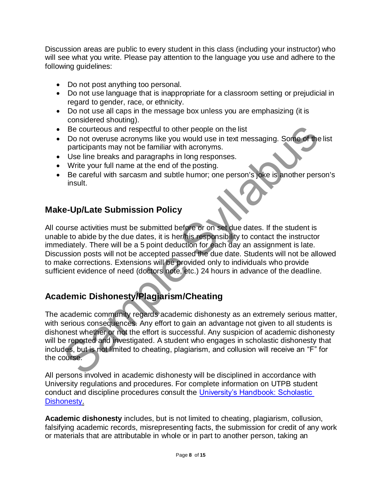Discussion areas are public to every student in this class (including your instructor) who will see what you write. Please pay attention to the language you use and adhere to the following guidelines:

- Do not post anything too personal.
- Do not use language that is inappropriate for a classroom setting or prejudicial in regard to gender, race, or ethnicity.
- Do not use all caps in the message box unless you are emphasizing (it is considered shouting).
- Be courteous and respectful to other people on the list
- Do not overuse acronyms like you would use in text messaging. Some of the list participants may not be familiar with acronyms.
- Use line breaks and paragraphs in long responses.
- Write your full name at the end of the posting.
- Be careful with sarcasm and subtle humor; one person's joke is another person's insult.

### **Make-Up/Late Submission Policy**

Be courteous and respectful to other people on the list<br>participants may not be familiar with acronyms.<br>participants may not be familiar with acronyms.<br>Use line breaks and paragraphs in long responses.<br>Write your full name All course activities must be submitted before or on set due dates. If the student is unable to abide by the due dates, it is her/his responsibility to contact the instructor immediately. There will be a 5 point deduction for each day an assignment is late. Discussion posts will not be accepted passed the due date. Students will not be allowed to make corrections. Extensions will be provided only to individuals who provide sufficient evidence of need (doctors note, etc.) 24 hours in advance of the deadline.

## **Academic Dishonesty/Plagiarism/Cheating**

The academic community regards academic dishonesty as an extremely serious matter, with serious consequences. Any effort to gain an advantage not given to all students is dishonest whether or not the effort is successful. Any suspicion of academic dishonesty will be reported and investigated. A student who engages in scholastic dishonesty that includes, but is not limited to cheating, plagiarism, and collusion will receive an "F" for the course.

All persons involved in academic dishonesty will be disciplined in accordance with University regulations and procedures. For complete information on UTPB student conduct and discipline procedures consult the [University's Handbook: Scholastic](https://www.utpb.edu/assets/images/student-code-of-conduct-2019.pdf) [Dishonesty.](https://www.utpb.edu/campus-life/dean-of-students/scholastic-dishonesty)

**Academic dishonesty** includes, but is not limited to cheating, plagiarism, collusion, falsifying academic records, misrepresenting facts, the submission for credit of any work or materials that are attributable in whole or in part to another person, taking an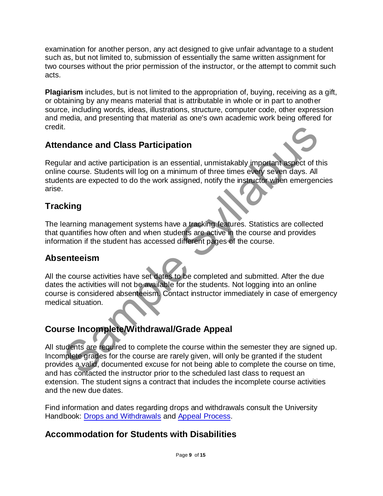examination for another person, any act designed to give unfair advantage to a student such as, but not limited to, submission of essentially the same written assignment for two courses without the prior permission of the instructor, or the attempt to commit such acts.

**Plagiarism** includes, but is not limited to the appropriation of, buying, receiving as a gift, or obtaining by any means material that is attributable in whole or in part to another source, including words, ideas, illustrations, structure, computer code, other expression and media, and presenting that material as one's own academic work being offered for credit.

#### **Attendance and Class Participation**

Regular and active participation is an essential, unmistakably important aspect of this online course. Students will log on a minimum of three times every seven days. All students are expected to do the work assigned, notify the instructor when emergencies arise.

#### **Tracking**

The learning management systems have a tracking features. Statistics are collected that quantifies how often and when students are active in the course and provides information if the student has accessed different pages of the course.

#### **Absenteeism**

t.<br>
Indiance and Class Participation<br>
Ilar and active participation is an essential, unmistakably important aspect of this<br>
ecourse. Students will log on a minimum of three times every seven days. All<br>
Is are expected to d All the course activities have set dates to be completed and submitted. After the due dates the activities will not be available for the students. Not logging into an online course is considered absenteeism. Contact instructor immediately in case of emergency medical situation.

#### **Course Incomplete/Withdrawal/Grade Appeal**

All students are required to complete the course within the semester they are signed up. Incomplete grades for the course are rarely given, will only be granted if the student provides a valid, documented excuse for not being able to complete the course on time, and has contacted the instructor prior to the scheduled last class to request an extension. The student signs a contract that includes the incomplete course activities and the new due dates.

Find information and dates regarding drops and withdrawals consult the University Handbook: Drops and Withdrawals and [Appeal Process.](https://www.utpb.edu/life-at-utpb/student-services/dean-of-students/student-grievances)

#### **Accommodation for Students with Disabilities**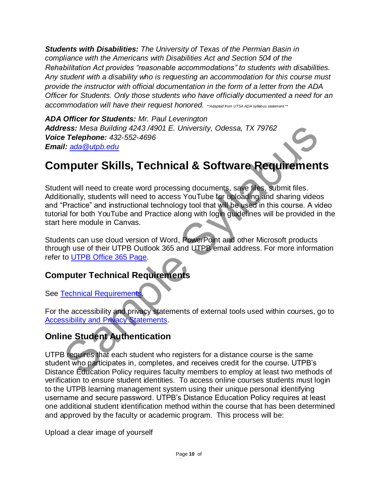*Students with Disabilities: The University of Texas of the Permian Basin in compliance with the Americans with Disabilities Act and Section 504 of the Rehabilitation Act provides "reasonable accommodations" to students with disabilities. Any student with a disability who is requesting an accommodation for this course must provide the instructor with official documentation in the form of a letter from the ADA Officer for Students. Only those students who have officially documented a need for an accommodation will have their request honored. \*\*Adapted from UTSA ADA syllabus statement.\*\**

*ADA Officer for Students: Mr. Paul Leverington Address: Mesa Building 4243 /4901 E. University, Odessa, TX 79762 Voice Telephone: 432-552-4696 Email: ada@utpb.edu*

# **Computer Skills, Technical & Software Requirements**

**Exa[mp](https://www.utpb.edu/academics/online-learning/reach-center/technical-requirements)le The Syllabury 4243/4901 E.** University, Odessa, TX 79762<br> **Example Telephone: 432-552-4696**<br> **Example Telephone: 432-552-4696**<br> **II:** <u>ada@utob.edu</u><br> **II:** ada@utob.edu<br>
II: ada@utob.edu<br>
II: ada@utob.edu<br>
Inter S Student will need to create word processing documents, save files, submit files. Additionally, students will need to access YouTube for uploading and sharing videos and "Practice" and instructional technology tool that will be used in this course. A video tutorial for both YouTube and Practice along with login guidelines will be provided in the start here module in Canvas.

Students can use cloud version of Word, PowerPoint and other Microsoft products through use of their UTPB Outlook 365 and UTPB email address. For more information refer to UTPB Office 365 Page.

### **Computer Technical Requirements**

See Technical Requirements

For the accessibility and privacy statements of external tools used within courses, go to [Accessibility and Privacy Statements.](https://www.utpb.edu/academics/online-learning/reach-center/ada_privacy)

### **Online Student Authentication**

UTPB requires that each student who registers for a distance course is the same student who participates in, completes, and receives credit for the course. UTPB's Distance Education Policy requires faculty members to employ at least two methods of verification to ensure student identities. To access online courses students must login to the UTPB learning management system using their unique personal identifying username and secure password. UTPB's Distance Education Policy requires at least one additional student identification method within the course that has been determined and approved by the faculty or academic program. This process will be:

Upload a clear image of yourself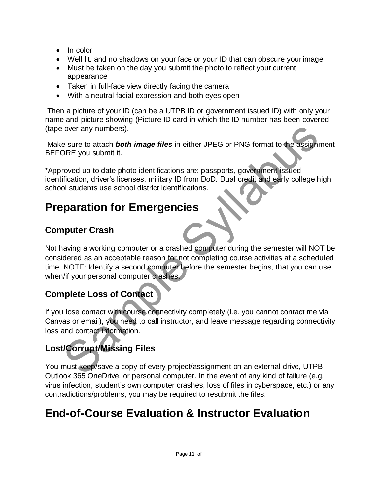- $\bullet$  In color
- Well lit, and no shadows on your face or your ID that can obscure your image
- Must be taken on the day you submit the photo to reflect your current appearance
- Taken in full-face view directly facing the camera
- With a neutral facial expression and both eyes open

Then a picture of your ID (can be a UTPB ID or government issued ID) with only your name and picture showing (Picture ID card in which the ID number has been covered (tape over any numbers).

Make sure to attach *both image files* in either JPEG or PNG format to the assignment BEFORE you submit it.

\*Approved up to date photo identifications are: passports, government issued identification, driver's licenses, military ID from DoD. Dual credit and early college high school students use school district identifications.

## **Preparation for Emergencies**

## **Computer Crash**

over any numbers).<br>
See sure to attach **both image files** in either JPEG or PNG format to the assignment<br>
DRE you submit it.<br>
finction, driver's licenses, military ID from DoD. Dual credit and early college highter<br>
distin Not having a working computer or a crashed computer during the semester will NOT be considered as an acceptable reason for not completing course activities at a scheduled time. NOTE: Identify a second computer before the semester begins, that you can use when/if your personal computer crashes.

## **Complete Loss of Contact**

If you lose contact with course connectivity completely (i.e. you cannot contact me via Canvas or email), you need to call instructor, and leave message regarding connectivity loss and contact information.

## **Lost/Corrupt/Missing Files**

You must keep/save a copy of every project/assignment on an external drive, UTPB Outlook 365 OneDrive, or personal computer. In the event of any kind of failure (e.g. virus infection, student's own computer crashes, loss of files in cyberspace, etc.) or any contradictions/problems, you may be required to resubmit the files.

# **End-of-Course Evaluation & Instructor Evaluation**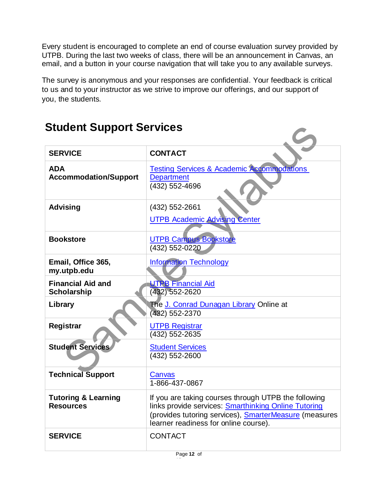Every student is encouraged to complete an end of course evaluation survey provided by UTPB. During the last two weeks of class, there will be an announcement in Canvas, an email, and a button in your course navigation that will take you to any available surveys.

The survey is anonymous and your responses are confidential. Your feedback is critical to us and to your instructor as we strive to improve our offerings, and our support of you, the students.

| <b>Student Support Services</b>                    |                                                                                                                                                                                                                        |
|----------------------------------------------------|------------------------------------------------------------------------------------------------------------------------------------------------------------------------------------------------------------------------|
| <b>SERVICE</b>                                     | <b>CONTACT</b>                                                                                                                                                                                                         |
| <b>ADA</b><br><b>Accommodation/Support</b>         | <b>Testing Services &amp; Academic Accommodations</b><br><b>Department</b><br>(432) 552-4696                                                                                                                           |
| <b>Advising</b>                                    | (432) 552-2661<br><b>UTPB Academic Advising Center</b>                                                                                                                                                                 |
| <b>Bookstore</b>                                   | <b>UTPB Campus Bookstore</b><br>(432) 552-0220                                                                                                                                                                         |
| Email, Office 365,<br>my.utpb.edu                  | <b>Information Technology</b>                                                                                                                                                                                          |
| <b>Financial Aid and</b><br><b>Scholarship</b>     | <b>UTPB Financial Aid</b><br>(432) 552-2620                                                                                                                                                                            |
| Library                                            | The J. Conrad Dunagan Library Online at<br>432) 552-2370                                                                                                                                                               |
| Registrar                                          | <b>UTPB Registrar</b><br>(432) 552-2635                                                                                                                                                                                |
| <b>Student Services</b>                            | <b>Student Services</b><br>(432) 552-2600                                                                                                                                                                              |
| <b>Technical Support</b>                           | Canvas<br>1-866-437-0867                                                                                                                                                                                               |
| <b>Tutoring &amp; Learning</b><br><b>Resources</b> | If you are taking courses through UTPB the following<br>links provide services: Smarthinking Online Tutoring<br>(provides tutoring services), <b>SmarterMeasure</b> (measures<br>learner readiness for online course). |
| <b>SERVICE</b>                                     | <b>CONTACT</b>                                                                                                                                                                                                         |

## **Student Support Services**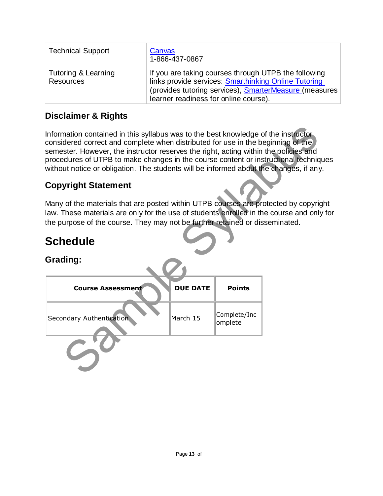| <b>Technical Support</b>                | Canvas<br>1-866-437-0867                                                                                                                                                                                                      |
|-----------------------------------------|-------------------------------------------------------------------------------------------------------------------------------------------------------------------------------------------------------------------------------|
| Tutoring & Learning<br><b>Resources</b> | If you are taking courses through UTPB the following<br>links provide services: <b>Smarthinking Online Tutoring</b><br>(provides tutoring services), <b>SmarterMeasure</b> (measures<br>learner readiness for online course). |

### **Disclaimer & Rights**

### **Copyright Statement**

# **Schedule**

| Information contained in this syllabus was to the best knowledge of the instructor<br>considered correct and complete when distributed for use in the beginning of the<br>semester. However, the instructor reserves the right, acting within the policies and<br>procedures of UTPB to make changes in the course content or instructional technique<br>without notice or obligation. The students will be informed about the changes, if any. |                 |                         |  |
|-------------------------------------------------------------------------------------------------------------------------------------------------------------------------------------------------------------------------------------------------------------------------------------------------------------------------------------------------------------------------------------------------------------------------------------------------|-----------------|-------------------------|--|
| <b>Copyright Statement</b>                                                                                                                                                                                                                                                                                                                                                                                                                      |                 |                         |  |
| Many of the materials that are posted within UTPB courses are protected by copyrigh<br>law. These materials are only for the use of students enrolled in the course and only f<br>the purpose of the course. They may not be further retained or disseminated.                                                                                                                                                                                  |                 |                         |  |
| <b>Schedule</b>                                                                                                                                                                                                                                                                                                                                                                                                                                 |                 |                         |  |
| Grading:                                                                                                                                                                                                                                                                                                                                                                                                                                        |                 |                         |  |
| <b>Course Assessment</b>                                                                                                                                                                                                                                                                                                                                                                                                                        | <b>DUE DATE</b> | <b>Points</b>           |  |
| Secondary Authentication                                                                                                                                                                                                                                                                                                                                                                                                                        | March 15        | Complete/Inc<br>omplete |  |
|                                                                                                                                                                                                                                                                                                                                                                                                                                                 |                 |                         |  |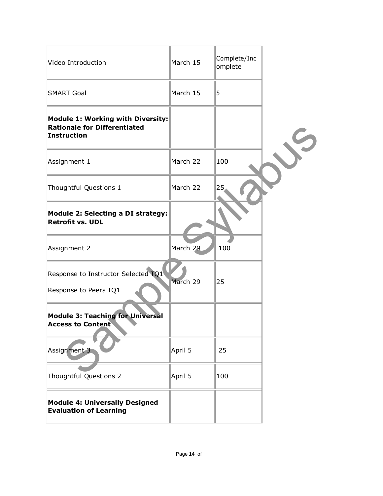| Video Introduction                                                                                    | March 15 | Complete/Inc<br>omplete |  |
|-------------------------------------------------------------------------------------------------------|----------|-------------------------|--|
| <b>SMART Goal</b>                                                                                     | March 15 | 5                       |  |
| <b>Module 1: Working with Diversity:</b><br><b>Rationale for Differentiated</b><br><b>Instruction</b> |          |                         |  |
| Assignment 1                                                                                          | March 22 | 100                     |  |
| Thoughtful Questions 1                                                                                | March 22 | 25 <sub>1</sub>         |  |
| Module 2: Selecting a DI strategy:<br><b>Retrofit vs. UDL</b>                                         |          |                         |  |
| Assignment 2                                                                                          | March 29 | 100                     |  |
| Response to Instructor Selected TQ1<br>Response to Peers TQ1                                          | March 29 | 25                      |  |
| <b>Module 3: Teaching for Universal</b><br><b>Access to Content</b>                                   |          |                         |  |
| Assignment 3                                                                                          | April 5  | 25                      |  |
| Thoughtful Questions 2                                                                                | April 5  | 100                     |  |
| <b>Module 4: Universally Designed</b><br><b>Evaluation of Learning</b>                                |          |                         |  |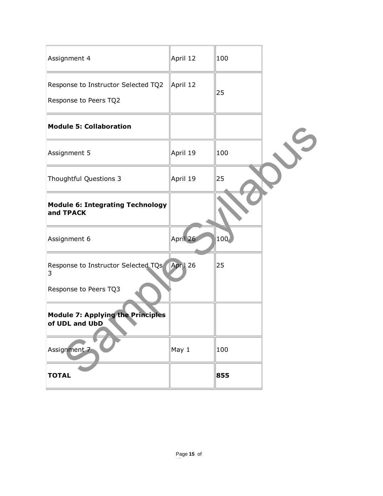| Assignment 4                                                                 | April 12 | 100 |  |
|------------------------------------------------------------------------------|----------|-----|--|
| Response to Instructor Selected TQ2<br>Response to Peers TQ2                 | April 12 | 25  |  |
| <b>Module 5: Collaboration</b>                                               |          |     |  |
| Assignment 5                                                                 | April 19 | 100 |  |
| Thoughtful Questions 3                                                       | April 19 | 25  |  |
| <b>Module 6: Integrating Technology</b><br>and TPACK                         |          |     |  |
| Assignment 6                                                                 | April 26 | 100 |  |
| Response to Instructor Selected TQs   April 26<br>3<br>Response to Peers TQ3 |          | 25  |  |
| <b>Module 7: Applying the Principles</b><br>of UDL and UbD                   |          |     |  |
| Assignment 7                                                                 | May 1    | 100 |  |
| <b>TOTAL</b>                                                                 |          | 855 |  |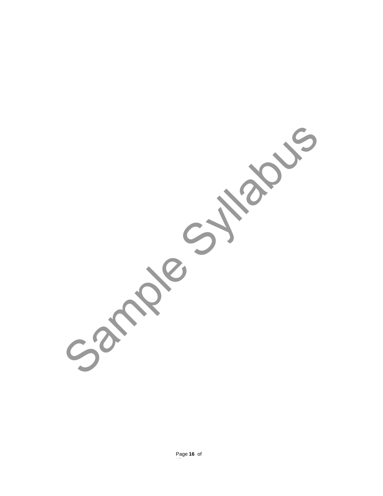Sample Syllabus